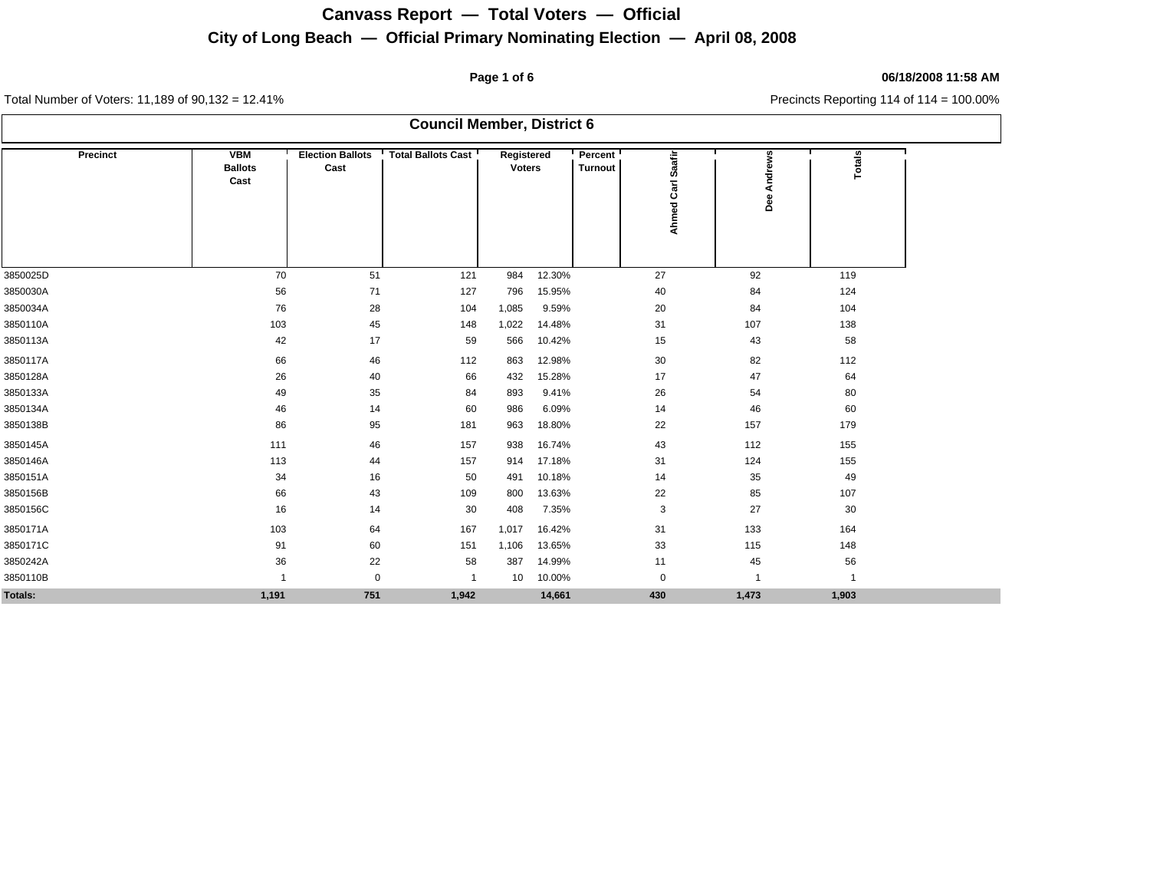## **Page 1 of 6 06/18/2008 11:58 AM**

| <b>Council Member, District 6</b> |                                      |                                 |                           |                             |        |                     |                      |                |               |  |  |  |
|-----------------------------------|--------------------------------------|---------------------------------|---------------------------|-----------------------------|--------|---------------------|----------------------|----------------|---------------|--|--|--|
| <b>Precinct</b>                   | <b>VBM</b><br><b>Ballots</b><br>Cast | <b>Election Ballots</b><br>Cast | <b>Total Ballots Cast</b> | Registered<br><b>Voters</b> |        | Percent!<br>Turnout | Saafir<br>Ahmed Carl | Andrews<br>Dee | <b>Totals</b> |  |  |  |
| 3850025D                          | 70                                   | 51                              | 121                       | 984                         | 12.30% |                     | 27                   | 92             | 119           |  |  |  |
| 3850030A                          | 56                                   | 71                              | 127                       | 796                         | 15.95% |                     | 40                   | 84             | 124           |  |  |  |
| 3850034A                          | 76                                   | 28                              | 104                       | 1,085                       | 9.59%  |                     | 20                   | 84             | 104           |  |  |  |
| 3850110A                          | 103                                  | 45                              | 148                       | 1,022                       | 14.48% |                     | 31                   | 107            | 138           |  |  |  |
| 3850113A                          | 42                                   | 17                              | 59                        | 566                         | 10.42% |                     | 15                   | 43             | 58            |  |  |  |
| 3850117A                          | 66                                   | 46                              | 112                       | 863                         | 12.98% |                     | 30                   | 82             | 112           |  |  |  |
| 3850128A                          | 26                                   | 40                              | 66                        | 432                         | 15.28% |                     | 17                   | 47             | 64            |  |  |  |
| 3850133A                          | 49                                   | 35                              | 84                        | 893                         | 9.41%  |                     | 26                   | 54             | 80            |  |  |  |
| 3850134A                          | 46                                   | 14                              | 60                        | 986                         | 6.09%  |                     | 14                   | 46             | 60            |  |  |  |
| 3850138B                          | 86                                   | 95                              | 181                       | 963                         | 18.80% |                     | 22                   | 157            | 179           |  |  |  |
| 3850145A                          | 111                                  | 46                              | 157                       | 938                         | 16.74% |                     | 43                   | 112            | 155           |  |  |  |
| 3850146A                          | 113                                  | 44                              | 157                       | 914                         | 17.18% |                     | 31                   | 124            | 155           |  |  |  |
| 3850151A                          | 34                                   | 16                              | 50                        | 491                         | 10.18% |                     | 14                   | 35             | 49            |  |  |  |
| 3850156B                          | 66                                   | 43                              | 109                       | 800                         | 13.63% |                     | 22                   | 85             | 107           |  |  |  |
| 3850156C                          | 16                                   | 14                              | 30                        | 408                         | 7.35%  |                     | 3                    | 27             | 30            |  |  |  |
| 3850171A                          | 103                                  | 64                              | 167                       | 1,017                       | 16.42% |                     | 31                   | 133            | 164           |  |  |  |
| 3850171C                          | 91                                   | 60                              | 151                       | 1,106                       | 13.65% |                     | 33                   | 115            | 148           |  |  |  |
| 3850242A                          | 36                                   | 22                              | 58                        | 387                         | 14.99% |                     | 11                   | 45             | 56            |  |  |  |
| 3850110B                          | $\overline{\mathbf{1}}$              | $\mathbf 0$                     | $\overline{1}$            | 10                          | 10.00% |                     | $\mathbf 0$          | 1              | $\mathbf{1}$  |  |  |  |
| Totals:                           | 1,191                                | 751                             | 1,942                     |                             | 14,661 |                     | 430                  | 1,473          | 1,903         |  |  |  |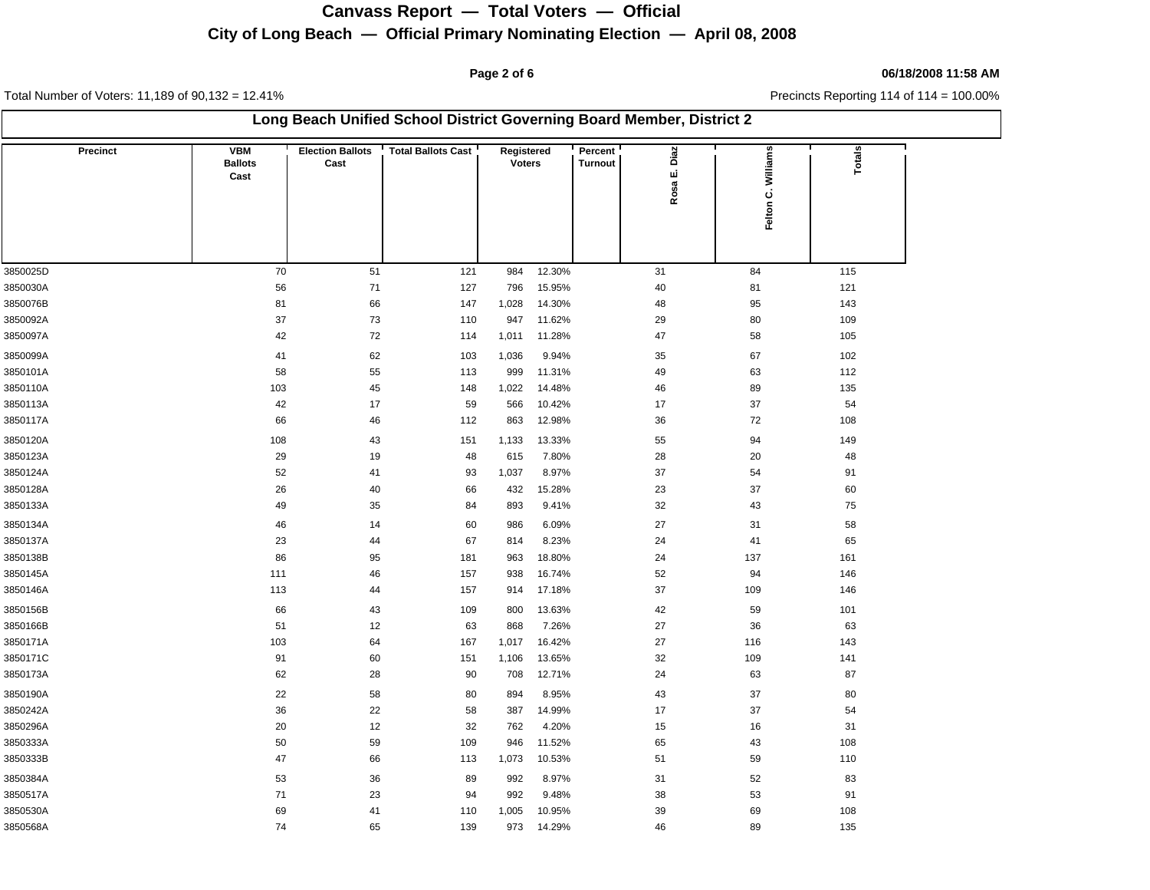### **Page 2 of 6 06/18/2008 11:58 AM**

Total Number of Voters: 11,189 of 90,132 = 12.41% Precincts Reporting 114 of 114 = 100.00%

| Long Beach Unified School District Governing Board Member, District 2 |                                      |                                 |                           |                             |        |                                              |                    |        |  |  |  |
|-----------------------------------------------------------------------|--------------------------------------|---------------------------------|---------------------------|-----------------------------|--------|----------------------------------------------|--------------------|--------|--|--|--|
| <b>Precinct</b>                                                       | <b>VBM</b><br><b>Ballots</b><br>Cast | <b>Election Ballots</b><br>Cast | <b>Total Ballots Cast</b> | Registered<br><b>Voters</b> |        | Percent<br>Diaz<br><b>Turnout</b><br>Rosa E. | Felton C. Williams | Totals |  |  |  |
| 3850025D                                                              | 70                                   | 51                              | 121                       | 984                         | 12.30% | 31                                           | 84                 | 115    |  |  |  |
| 3850030A                                                              | 56                                   | $71\,$                          | 127                       | 796                         | 15.95% | 40                                           | 81                 | 121    |  |  |  |
| 3850076B                                                              | 81                                   | 66                              | 147                       | 1,028                       | 14.30% | 48                                           | 95                 | 143    |  |  |  |
| 3850092A                                                              | 37                                   | 73                              | 110                       | 947                         | 11.62% | 29                                           | 80                 | 109    |  |  |  |
| 3850097A                                                              | 42                                   | 72                              | 114                       | 1,011                       | 11.28% | 47                                           | 58                 | 105    |  |  |  |
| 3850099A                                                              | 41                                   | 62                              | 103                       | 1,036                       | 9.94%  | 35                                           | 67                 | 102    |  |  |  |
| 3850101A                                                              | 58                                   | 55                              | 113                       | 999                         | 11.31% | 49                                           | 63                 | 112    |  |  |  |
| 3850110A                                                              | 103                                  | 45                              | 148                       | 1,022                       | 14.48% | 46                                           | 89                 | 135    |  |  |  |
| 3850113A                                                              | 42                                   | 17                              | 59                        | 566                         | 10.42% | 17                                           | 37                 | 54     |  |  |  |
| 3850117A                                                              | 66                                   | 46                              | 112                       | 863                         | 12.98% | 36                                           | 72                 | 108    |  |  |  |
| 3850120A                                                              | 108                                  | 43                              | 151                       | 1,133                       | 13.33% | 55                                           | 94                 | 149    |  |  |  |
| 3850123A                                                              | 29                                   | 19                              | 48                        | 615                         | 7.80%  | 28                                           | 20                 | 48     |  |  |  |
| 3850124A                                                              | 52                                   | 41                              | 93                        | 1,037                       | 8.97%  | 37                                           | 54                 | 91     |  |  |  |
| 3850128A                                                              | 26                                   | 40                              | 66                        | 432                         | 15.28% | 23                                           | 37                 | 60     |  |  |  |
| 3850133A                                                              | 49                                   | 35                              | 84                        | 893                         | 9.41%  | 32                                           | 43                 | 75     |  |  |  |
| 3850134A                                                              | 46                                   | 14                              | 60                        | 986                         | 6.09%  | 27                                           | 31                 | 58     |  |  |  |
| 3850137A                                                              | 23                                   | 44                              | 67                        | 814                         | 8.23%  | 24                                           | 41                 | 65     |  |  |  |
| 3850138B                                                              | 86                                   | 95                              | 181                       | 963                         | 18.80% | 24                                           | 137                | 161    |  |  |  |
| 3850145A                                                              | 111                                  | 46                              | 157                       | 938                         | 16.74% | 52                                           | 94                 | 146    |  |  |  |
| 3850146A                                                              | 113                                  | 44                              | 157                       | 914                         | 17.18% | 37                                           | 109                | 146    |  |  |  |
| 3850156B                                                              | 66                                   | 43                              | 109                       | 800                         | 13.63% | 42                                           | 59                 | 101    |  |  |  |
| 3850166B                                                              | 51                                   | 12                              | 63                        | 868                         | 7.26%  | 27                                           | 36                 | 63     |  |  |  |
| 3850171A                                                              | 103                                  | 64                              | 167                       | 1,017                       | 16.42% | 27                                           | 116                | 143    |  |  |  |
| 3850171C                                                              | 91                                   | 60                              | 151                       | 1,106                       | 13.65% | 32                                           | 109                | 141    |  |  |  |
| 3850173A                                                              | 62                                   | 28                              | 90                        | 708                         | 12.71% | 24                                           | 63                 | 87     |  |  |  |
| 3850190A                                                              | 22                                   | 58                              | 80                        | 894                         | 8.95%  | 43                                           | 37                 | 80     |  |  |  |
| 3850242A                                                              | 36                                   | 22                              | 58                        | 387                         | 14.99% | 17                                           | 37                 | 54     |  |  |  |
| 3850296A                                                              | 20                                   | 12                              | 32                        | 762                         | 4.20%  | 15                                           | 16                 | 31     |  |  |  |
| 3850333A                                                              | 50                                   | 59                              | 109                       | 946                         | 11.52% | 65                                           | 43                 | 108    |  |  |  |
| 3850333B                                                              | 47                                   | 66                              | 113                       | 1,073                       | 10.53% | 51                                           | 59                 | 110    |  |  |  |
| 3850384A                                                              | 53                                   | 36                              | 89                        | 992                         | 8.97%  | 31                                           | 52                 | 83     |  |  |  |
| 3850517A                                                              | 71                                   | 23                              | 94                        | 992                         | 9.48%  | 38                                           | 53                 | 91     |  |  |  |
| 3850530A                                                              | 69                                   | 41                              | 110                       | 1,005                       | 10.95% | 39                                           | 69                 | 108    |  |  |  |
| 3850568A                                                              | 74                                   | 65                              | 139                       | 973                         | 14.29% | 46                                           | 89                 | 135    |  |  |  |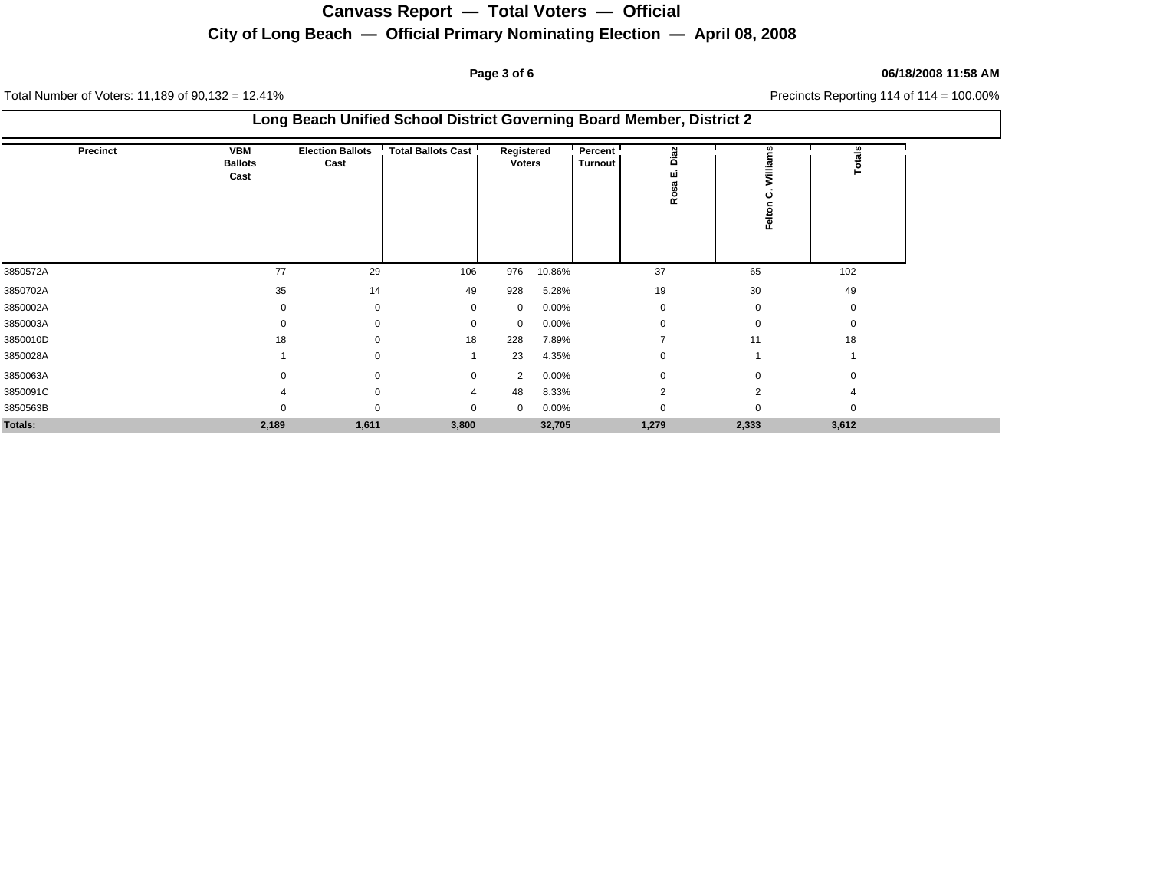# **City of Long Beach — Official Primary Nominating Election — April 08, 2008 Canvass Report — Total Voters — Official**

### **Page 3 of 6 06/18/2008 11:58 AM**

| Long Beach Unified School District Governing Board Member, District 2 |                                      |                                 |                           |                             |          |                           |               |                |          |  |  |  |
|-----------------------------------------------------------------------|--------------------------------------|---------------------------------|---------------------------|-----------------------------|----------|---------------------------|---------------|----------------|----------|--|--|--|
| Precinct                                                              | <b>VBM</b><br><b>Ballots</b><br>Cast | <b>Election Ballots</b><br>Cast | <b>Total Ballots Cast</b> | Registered<br><b>Voters</b> |          | Percent<br><b>Turnout</b> | iaz<br>r<br>ě | Į<br>ပ<br>elto | Totals   |  |  |  |
| 3850572A                                                              | 77                                   | 29                              | 106                       | 976                         | 10.86%   |                           | 37            | 65             | 102      |  |  |  |
| 3850702A                                                              | 35                                   | 14                              | 49                        | 928                         | 5.28%    |                           | 19            | 30             | 49       |  |  |  |
| 3850002A                                                              | $\Omega$                             | $\Omega$                        | 0                         | 0                           | 0.00%    |                           | 0             | $\Omega$       | $\Omega$ |  |  |  |
| 3850003A                                                              | O                                    |                                 | 0                         | 0                           | 0.00%    |                           | 0             |                | 0        |  |  |  |
| 3850010D                                                              | 18                                   |                                 | 18                        | 228                         | 7.89%    |                           |               | 11             | 18       |  |  |  |
| 3850028A                                                              |                                      |                                 |                           | 23                          | 4.35%    |                           | 0             |                |          |  |  |  |
| 3850063A                                                              |                                      |                                 | $\mathbf{0}$              | 2                           | $0.00\%$ |                           | $\Omega$      |                |          |  |  |  |
| 3850091C                                                              |                                      |                                 | 4                         | 48                          | 8.33%    |                           | 2             |                |          |  |  |  |
| 3850563B                                                              | O                                    | $\Omega$                        | 0                         | $\mathbf{0}$                | $0.00\%$ |                           | 0             | $\Omega$       | 0        |  |  |  |
| Totals:                                                               | 2,189                                | 1,611                           | 3,800                     |                             | 32,705   |                           | 1,279         | 2,333          | 3,612    |  |  |  |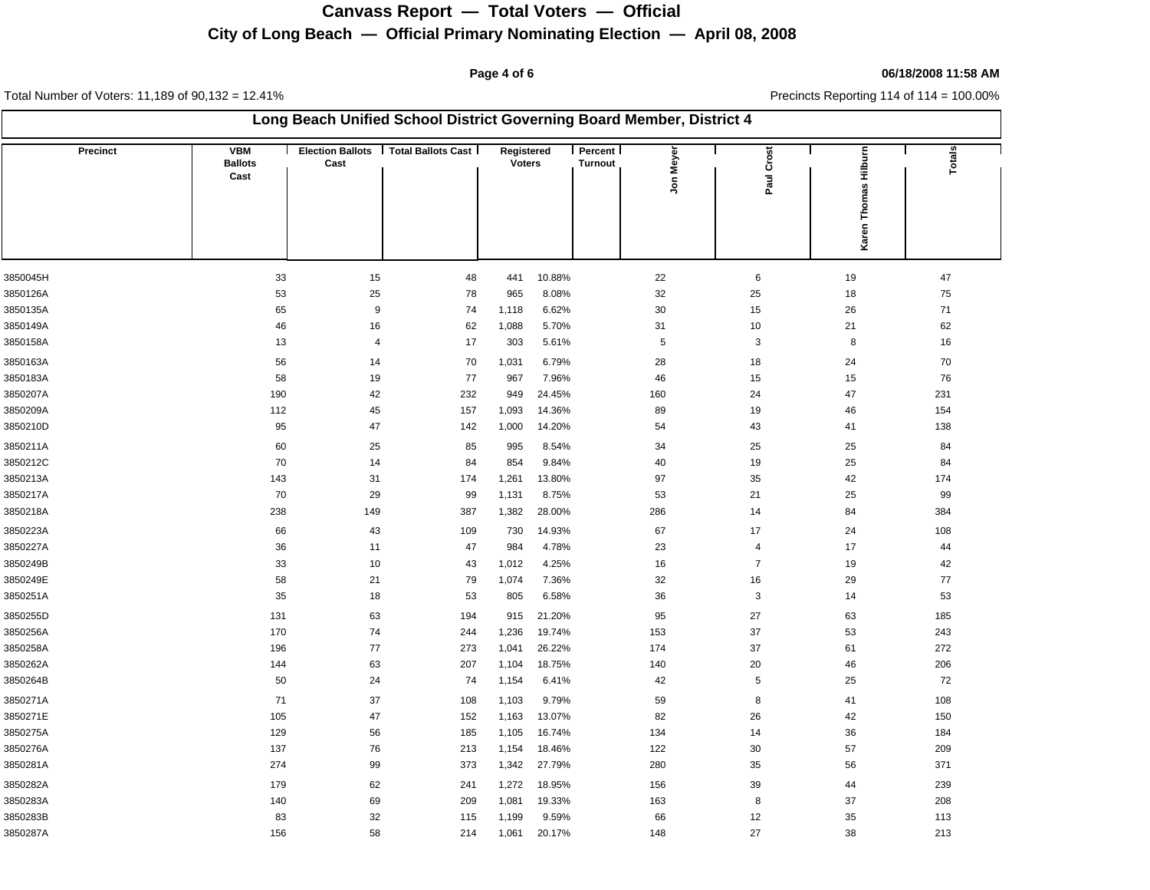## **Page 4 of 6 06/18/2008 11:58 AM**

| Long Beach Unified School District Governing Board Member, District 4 |                                      |                  |                                       |                             |        |                    |            |                |                      |        |  |
|-----------------------------------------------------------------------|--------------------------------------|------------------|---------------------------------------|-----------------------------|--------|--------------------|------------|----------------|----------------------|--------|--|
| <b>Precinct</b>                                                       | <b>VBM</b><br><b>Ballots</b><br>Cast | Cast             | Election Ballots   Total Ballots Cast | Registered<br><b>Voters</b> |        | Percent<br>Turnout | Jon Meyer  | Paul Crost     | Karen Thomas Hilburn | Totals |  |
|                                                                       |                                      |                  |                                       |                             |        |                    |            |                |                      |        |  |
| 3850045H                                                              | 33                                   | 15               | 48                                    | 441                         | 10.88% |                    | 22         | $\,6\,$        | 19                   | 47     |  |
| 3850126A                                                              | 53                                   | 25               | 78                                    | 965                         | 8.08%  |                    | 32         | 25             | 18                   | 75     |  |
| 3850135A                                                              | 65                                   | $\boldsymbol{9}$ | 74                                    | 1,118                       | 6.62%  |                    | 30         | 15             | 26                   | 71     |  |
| 3850149A                                                              | 46                                   | 16               | 62                                    | 1,088                       | 5.70%  |                    | 31         | 10             | 21                   | 62     |  |
| 3850158A                                                              | 13                                   | 4                | 17                                    | 303                         | 5.61%  |                    | $\sqrt{5}$ | 3              | 8                    | 16     |  |
| 3850163A                                                              | 56                                   | 14               | 70                                    | 1,031                       | 6.79%  |                    | 28         | 18             | 24                   | 70     |  |
| 3850183A                                                              | 58                                   | 19               | 77                                    | 967                         | 7.96%  |                    | 46         | 15             | 15                   | 76     |  |
| 3850207A                                                              | 190                                  | 42               | 232                                   | 949                         | 24.45% |                    | 160        | 24             | 47                   | 231    |  |
| 3850209A                                                              | 112                                  | 45               | 157                                   | 1,093                       | 14.36% |                    | 89         | 19             | 46                   | 154    |  |
| 3850210D                                                              | 95                                   | 47               | 142                                   | 1,000                       | 14.20% |                    | 54         | 43             | 41                   | 138    |  |
| 3850211A                                                              | 60                                   | 25               | 85                                    | 995                         | 8.54%  |                    | 34         | 25             | 25                   | 84     |  |
| 3850212C                                                              | 70                                   | 14               | 84                                    | 854                         | 9.84%  |                    | 40         | 19             | 25                   | 84     |  |
| 3850213A                                                              | 143                                  | 31               | 174                                   | 1,261                       | 13.80% |                    | 97         | 35             | 42                   | 174    |  |
| 3850217A                                                              | 70                                   | 29               | 99                                    | 1,131                       | 8.75%  |                    | 53         | 21             | 25                   | 99     |  |
| 3850218A                                                              | 238                                  | 149              | 387                                   | 1,382                       | 28.00% |                    | 286        | 14             | 84                   | 384    |  |
| 3850223A                                                              | 66                                   | 43               | 109                                   | 730                         | 14.93% |                    | 67         | 17             | 24                   | 108    |  |
| 3850227A                                                              | 36                                   | 11               | 47                                    | 984                         | 4.78%  |                    | 23         | $\overline{4}$ | 17                   | 44     |  |
| 3850249B                                                              | 33                                   | 10               | 43                                    | 1,012                       | 4.25%  |                    | 16         | $\overline{7}$ | 19                   | 42     |  |
| 3850249E                                                              | 58                                   | 21               | 79                                    | 1,074                       | 7.36%  |                    | 32         | 16             | 29                   | $77$   |  |
| 3850251A                                                              | 35                                   | 18               | 53                                    | 805                         | 6.58%  |                    | 36         | 3              | 14                   | 53     |  |
| 3850255D                                                              | 131                                  | 63               | 194                                   | 915                         | 21.20% |                    | 95         | 27             | 63                   | 185    |  |
| 3850256A                                                              | 170                                  | 74               | 244                                   | 1,236                       | 19.74% |                    | 153        | 37             | 53                   | 243    |  |
| 3850258A                                                              | 196                                  | 77               | 273                                   | 1,041                       | 26.22% |                    | 174        | 37             | 61                   | 272    |  |
| 3850262A                                                              | 144                                  | 63               | 207                                   | 1,104                       | 18.75% |                    | 140        | 20             | 46                   | 206    |  |
| 3850264B                                                              | 50                                   | 24               | 74                                    | 1,154                       | 6.41%  |                    | 42         | 5              | 25                   | 72     |  |
| 3850271A                                                              | 71                                   | 37               | 108                                   | 1,103                       | 9.79%  |                    | 59         | 8              | 41                   | 108    |  |
| 3850271E                                                              | 105                                  | 47               | 152                                   | 1,163                       | 13.07% |                    | 82         | 26             | 42                   | 150    |  |
| 3850275A                                                              | 129                                  | 56               | 185                                   | 1,105                       | 16.74% |                    | 134        | 14             | 36                   | 184    |  |
| 3850276A                                                              | 137                                  | 76               | 213                                   | 1,154                       | 18.46% |                    | 122        | 30             | 57                   | 209    |  |
| 3850281A                                                              | 274                                  | 99               | 373                                   | 1,342                       | 27.79% |                    | 280        | 35             | 56                   | 371    |  |
| 3850282A                                                              | 179                                  | 62               | 241                                   | 1,272                       | 18.95% |                    | 156        | 39             | 44                   | 239    |  |
| 3850283A                                                              | 140                                  | 69               | 209                                   | 1,081                       | 19.33% |                    | 163        | 8              | 37                   | 208    |  |
| 3850283B                                                              | 83                                   | 32               | 115                                   | 1,199                       | 9.59%  |                    | 66         | 12             | 35                   | 113    |  |
| 3850287A                                                              | 156                                  | 58               | 214                                   | 1,061                       | 20.17% |                    | 148        | 27             | 38                   | 213    |  |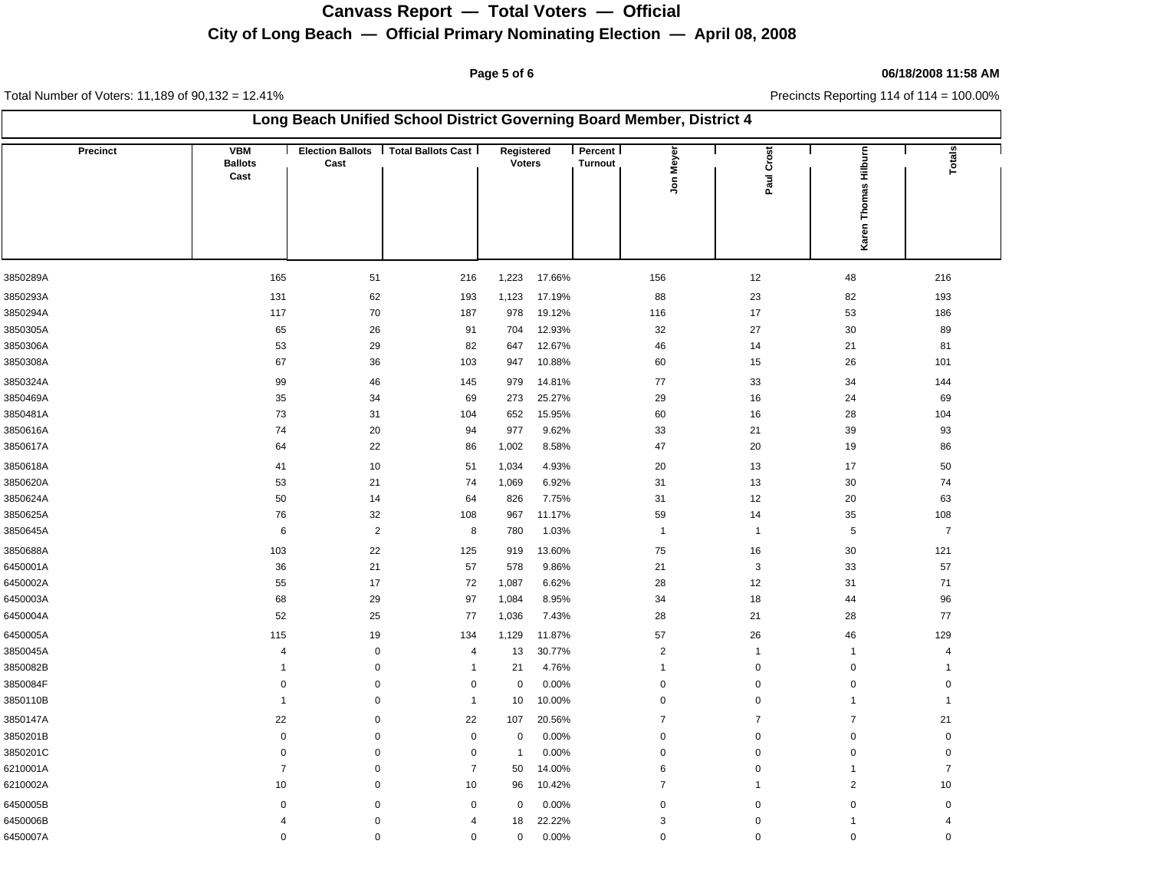## **Page 5 of 6 06/18/2008 11:58 AM**

| Long Beach Unified School District Governing Board Member, District 4 |                                      |                |                                       |                             |        |                    |                          |                |                         |                |  |
|-----------------------------------------------------------------------|--------------------------------------|----------------|---------------------------------------|-----------------------------|--------|--------------------|--------------------------|----------------|-------------------------|----------------|--|
| <b>Precinct</b>                                                       | <b>VBM</b><br><b>Ballots</b><br>Cast | Cast           | Election Ballots   Total Ballots Cast | Registered<br><b>Voters</b> |        | Percent<br>Turnout | Jon Meyer                | Paul Crost     | Karen Thomas Hilburn    | Totals         |  |
| 3850289A                                                              | 165                                  | 51             | 216                                   | 1,223                       | 17.66% |                    | 156                      | 12             | 48                      | 216            |  |
| 3850293A                                                              | 131                                  | 62             | 193                                   | 1,123                       | 17.19% |                    | 88                       | 23             | 82                      | 193            |  |
| 3850294A                                                              | 117                                  | 70             | 187                                   | 978                         | 19.12% |                    | 116                      | 17             | 53                      | 186            |  |
| 3850305A                                                              | 65                                   | 26             | 91                                    | 704                         | 12.93% |                    | 32                       | 27             | 30                      | 89             |  |
| 3850306A                                                              | 53                                   | 29             | 82                                    | 647                         | 12.67% |                    | 46                       | 14             | 21                      | 81             |  |
| 3850308A                                                              | 67                                   | 36             | 103                                   | 947                         | 10.88% |                    | 60                       | 15             | 26                      | 101            |  |
| 3850324A                                                              | 99                                   | 46             | 145                                   | 979                         | 14.81% |                    | 77                       | 33             | 34                      | 144            |  |
| 3850469A                                                              | 35                                   | 34             | 69                                    | 273                         | 25.27% |                    | 29                       | 16             | 24                      | 69             |  |
| 3850481A                                                              | 73                                   | 31             | 104                                   | 652                         | 15.95% |                    | 60                       | 16             | 28                      | 104            |  |
| 3850616A                                                              | 74                                   | 20             | 94                                    | 977                         | 9.62%  |                    | 33                       | 21             | 39                      | 93             |  |
| 3850617A                                                              | 64                                   | 22             | 86                                    | 1,002                       | 8.58%  |                    | 47                       | 20             | 19                      | 86             |  |
| 3850618A                                                              | 41                                   | 10             | 51                                    | 1,034                       | 4.93%  |                    | 20                       | 13             | 17                      | 50             |  |
| 3850620A                                                              | 53                                   | 21             | 74                                    | 1,069                       | 6.92%  |                    | 31                       | 13             | 30                      | 74             |  |
| 3850624A                                                              | 50                                   | 14             | 64                                    | 826                         | 7.75%  |                    | 31                       | 12             | 20                      | 63             |  |
| 3850625A                                                              | 76                                   | 32             | 108                                   | 967                         | 11.17% |                    | 59                       | 14             | 35                      | 108            |  |
| 3850645A                                                              | 6                                    | $\overline{2}$ | 8                                     | 780                         | 1.03%  |                    | $\overline{1}$           | $\overline{1}$ | $\,$ 5 $\,$             | $\overline{7}$ |  |
| 3850688A                                                              | 103                                  | 22             | 125                                   | 919                         | 13.60% |                    | 75                       | 16             | 30                      | 121            |  |
| 6450001A                                                              | 36                                   | 21             | 57                                    | 578                         | 9.86%  |                    | 21                       | 3              | 33                      | 57             |  |
| 6450002A                                                              | 55                                   | 17             | 72                                    | 1,087                       | 6.62%  |                    | 28                       | 12             | 31                      | 71             |  |
| 6450003A                                                              | 68                                   | 29             | 97                                    | 1,084                       | 8.95%  |                    | 34                       | 18             | 44                      | 96             |  |
| 6450004A                                                              | 52                                   | 25             | 77                                    | 1,036                       | 7.43%  |                    | 28                       | 21             | 28                      | 77             |  |
| 6450005A                                                              | 115                                  | 19             | 134                                   | 1,129                       | 11.87% |                    | 57                       | 26             | 46                      | 129            |  |
| 3850045A                                                              | $\overline{4}$                       | $\mathbf 0$    | $\overline{4}$                        | 13                          | 30.77% |                    | $\overline{c}$           | $\overline{1}$ | $\overline{1}$          | $\overline{4}$ |  |
| 3850082B                                                              | $\mathbf{1}$                         | $\mathbf 0$    | $\overline{1}$                        | 21                          | 4.76%  |                    | $\mathbf{1}$             | $\pmb{0}$      | 0                       | $\overline{1}$ |  |
| 3850084F                                                              | $\mathsf 0$                          | $\mathbf 0$    | 0                                     | $\pmb{0}$                   | 0.00%  |                    | 0                        | $\pmb{0}$      | $\mathbf 0$             | $\mathbf 0$    |  |
| 3850110B                                                              | $\mathbf{1}$                         | $\mathbf 0$    | $\mathbf{1}$                          | 10                          | 10.00% |                    | 0                        | $\pmb{0}$      | $\overline{1}$          | -1             |  |
| 3850147A                                                              | 22                                   | $\mathbf 0$    | 22                                    | 107                         | 20.56% |                    | $\overline{\mathcal{I}}$ | $\overline{7}$ | $\overline{7}$          | 21             |  |
| 3850201B                                                              | $\pmb{0}$                            | $\mathbf 0$    | $\mathbf 0$                           | $\pmb{0}$                   | 0.00%  |                    | 0                        | $\pmb{0}$      | 0                       | $\pmb{0}$      |  |
| 3850201C                                                              | $\mathbf 0$                          | $\pmb{0}$      | $\mathsf 0$                           | $\overline{1}$              | 0.00%  |                    | 0                        | $\mathbf 0$    | 0                       | $\mathbf 0$    |  |
| 6210001A                                                              | $\overline{7}$                       | $\mathbf 0$    | $\overline{7}$                        | 50                          | 14.00% |                    | 6                        | $\mathbf 0$    | $\mathbf{1}$            | $\overline{7}$ |  |
| 6210002A                                                              | 10                                   | 0              | 10                                    | 96                          | 10.42% |                    | $\overline{\mathcal{I}}$ | $\mathbf{1}$   | $\overline{\mathbf{c}}$ | 10             |  |
| 6450005B                                                              | 0                                    | $\mathbf 0$    | $\mathbf 0$                           | 0                           | 0.00%  |                    | 0                        | $\mathbf 0$    | 0                       | $\mathbf 0$    |  |
| 6450006B                                                              | $\overline{4}$                       | $\mathbf 0$    | 4                                     | 18                          | 22.22% |                    | 3                        | $\pmb{0}$      | $\overline{1}$          |                |  |
| 6450007A                                                              | $\Omega$                             | $\mathbf 0$    | 0                                     | $\mathsf 0$                 | 0.00%  |                    | 0                        | $\mathbf 0$    | 0                       | $\Omega$       |  |